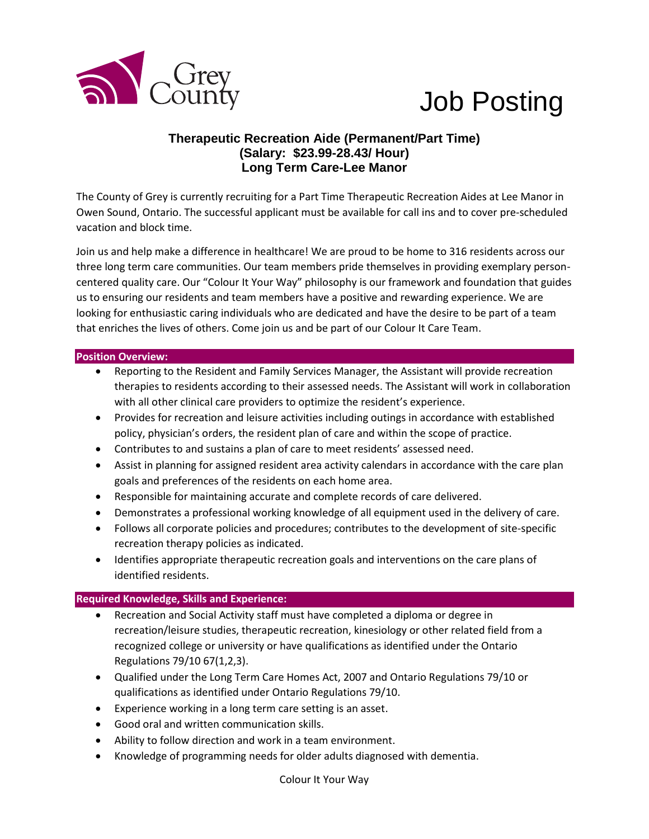

# Job Posting

## **Therapeutic Recreation Aide (Permanent/Part Time) (Salary: \$23.99-28.43/ Hour) Long Term Care-Lee Manor**

The County of Grey is currently recruiting for a Part Time Therapeutic Recreation Aides at Lee Manor in Owen Sound, Ontario. The successful applicant must be available for call ins and to cover pre-scheduled vacation and block time.

Join us and help make a difference in healthcare! We are proud to be home to 316 residents across our three long term care communities. Our team members pride themselves in providing exemplary personcentered quality care. Our "Colour It Your Way" philosophy is our framework and foundation that guides us to ensuring our residents and team members have a positive and rewarding experience. We are looking for enthusiastic caring individuals who are dedicated and have the desire to be part of a team that enriches the lives of others. Come join us and be part of our Colour It Care Team.

#### **Position Overview:**

- Reporting to the Resident and Family Services Manager, the Assistant will provide recreation therapies to residents according to their assessed needs. The Assistant will work in collaboration with all other clinical care providers to optimize the resident's experience.
- Provides for recreation and leisure activities including outings in accordance with established policy, physician's orders, the resident plan of care and within the scope of practice.
- Contributes to and sustains a plan of care to meet residents' assessed need.
- Assist in planning for assigned resident area activity calendars in accordance with the care plan goals and preferences of the residents on each home area.
- Responsible for maintaining accurate and complete records of care delivered.
- Demonstrates a professional working knowledge of all equipment used in the delivery of care.
- Follows all corporate policies and procedures; contributes to the development of site-specific recreation therapy policies as indicated.
- Identifies appropriate therapeutic recreation goals and interventions on the care plans of identified residents.

### **Required Knowledge, Skills and Experience:**

- Recreation and Social Activity staff must have completed a diploma or degree in recreation/leisure studies, therapeutic recreation, kinesiology or other related field from a recognized college or university or have qualifications as identified under the Ontario Regulations 79/10 67(1,2,3).
- Qualified under the Long Term Care Homes Act, 2007 and Ontario Regulations 79/10 or qualifications as identified under Ontario Regulations 79/10.
- Experience working in a long term care setting is an asset.
- Good oral and written communication skills.
- Ability to follow direction and work in a team environment.
- Knowledge of programming needs for older adults diagnosed with dementia.